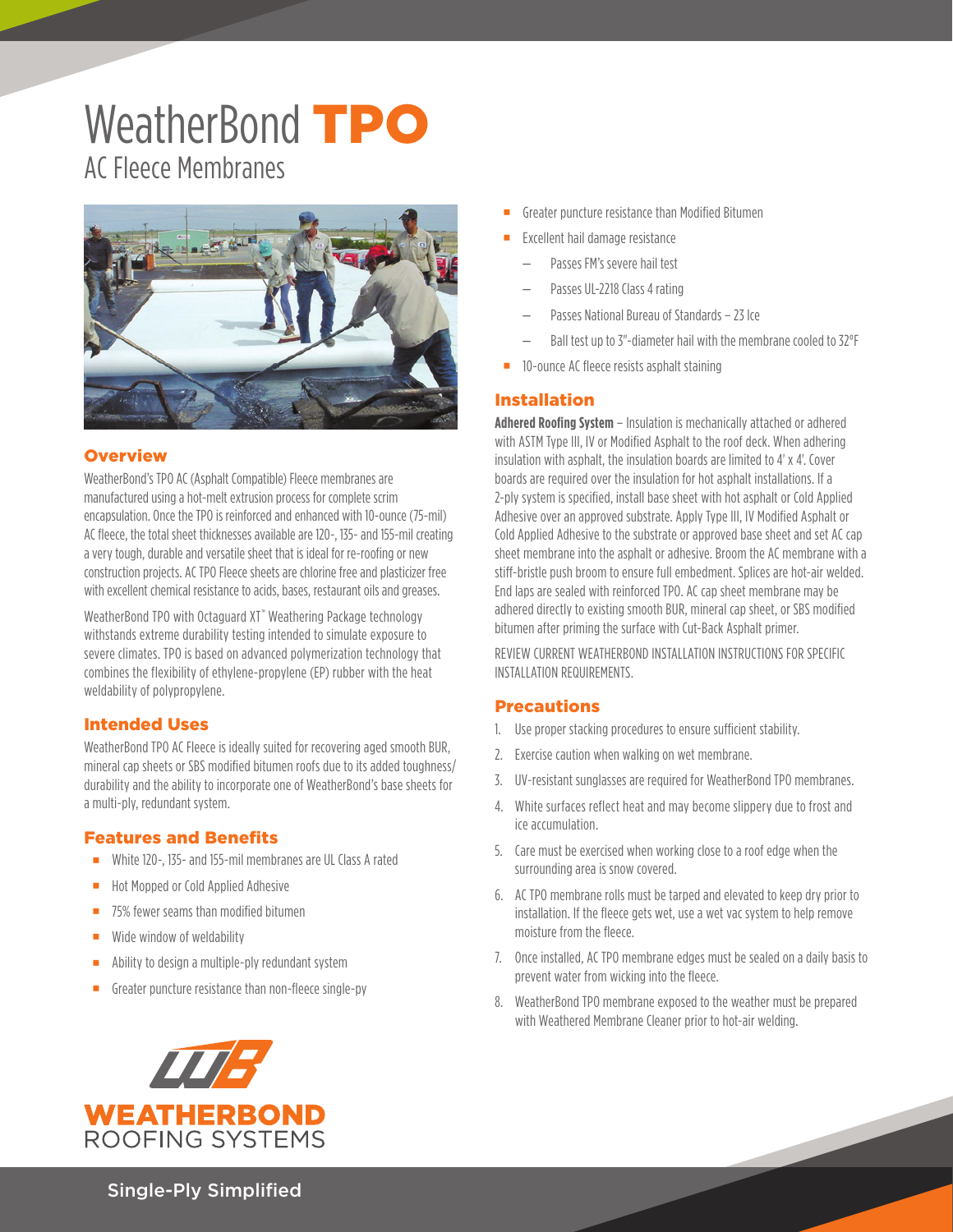# WeatherBond **TPO** AC Fleece Membranes



#### **Overview**

WeatherBond's TPO AC (Asphalt Compatible) Fleece membranes are manufactured using a hot-melt extrusion process for complete scrim encapsulation. Once the TPO is reinforced and enhanced with 10-ounce (75-mil) AC fleece, the total sheet thicknesses available are 120-, 135- and 155-mil creating a very tough, durable and versatile sheet that is ideal for re-roofing or new construction projects. AC TPO Fleece sheets are chlorine free and plasticizer free with excellent chemical resistance to acids, bases, restaurant oils and greases.

WeatherBond TPO with Octaguard XT<sup>™</sup> Weathering Package technology withstands extreme durability testing intended to simulate exposure to severe climates. TPO is based on advanced polymerization technology that combines the flexibility of ethylene-propylene (EP) rubber with the heat weldability of polypropylene.

#### Intended Uses

WeatherBond TPO AC Fleece is ideally suited for recovering aged smooth BUR, mineral cap sheets or SBS modified bitumen roofs due to its added toughness/ durability and the ability to incorporate one of WeatherBond's base sheets for a multi-ply, redundant system.

#### Features and Benefits

- White 120-, 135- and 155-mil membranes are UL Class A rated
- Hot Mopped or Cold Applied Adhesive
- 75% fewer seams than modified bitumen
- **Wide window of weldability**
- **Ability to design a multiple-ply redundant system**
- Greater puncture resistance than non-fleece single-py



- Greater puncture resistance than Modified Bitumen
- Excellent hail damage resistance
	- Passes FM's severe hail test
	- Passes UL-2218 Class 4 rating
	- Passes National Bureau of Standards 23 Ice
	- Ball test up to 3"-diameter hail with the membrane cooled to 32°F
- **10-ounce AC fleece resists asphalt staining**

#### Installation

**Adhered Roofing System** – Insulation is mechanically attached or adhered with ASTM Type III, IV or Modified Asphalt to the roof deck. When adhering insulation with asphalt, the insulation boards are limited to 4' x 4'. Cover boards are required over the insulation for hot asphalt installations. If a 2-ply system is specified, install base sheet with hot asphalt or Cold Applied Adhesive over an approved substrate. Apply Type III, IV Modified Asphalt or Cold Applied Adhesive to the substrate or approved base sheet and set AC cap sheet membrane into the asphalt or adhesive. Broom the AC membrane with a stiff-bristle push broom to ensure full embedment. Splices are hot-air welded. End laps are sealed with reinforced TPO. AC cap sheet membrane may be adhered directly to existing smooth BUR, mineral cap sheet, or SBS modified bitumen after priming the surface with Cut-Back Asphalt primer.

REVIEW CURRENT WEATHERBOND INSTALLATION INSTRUCTIONS FOR SPECIFIC INSTALLATION REQUIREMENTS.

#### Precautions

- 1. Use proper stacking procedures to ensure sufficient stability.
- 2. Exercise caution when walking on wet membrane.
- 3. UV-resistant sunglasses are required for WeatherBond TPO membranes.
- 4. White surfaces reflect heat and may become slippery due to frost and ice accumulation.
- 5. Care must be exercised when working close to a roof edge when the surrounding area is snow covered.
- 6. AC TPO membrane rolls must be tarped and elevated to keep dry prior to installation. If the fleece gets wet, use a wet vac system to help remove moisture from the fleece.
- 7. Once installed, AC TPO membrane edges must be sealed on a daily basis to prevent water from wicking into the fleece.
- 8. WeatherBond TPO membrane exposed to the weather must be prepared with Weathered Membrane Cleaner prior to hot-air welding.

Single-Ply Simplified